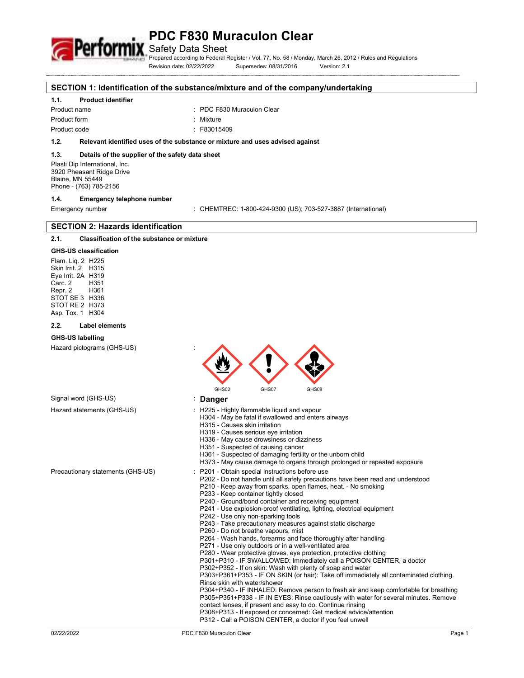

Safety Data Sheet

Prepared according to Federal Register / Vol. 77, No. 58 / Monday, March 26, 2012 / Rules and Regulations Revision date: 02/22/2022 Supersedes: 08/31/2016 Version: 2.1

#### **SECTION 1: Identification of the substance/mixture and of the company/undertaking**

# **1.1. Product identifier**

Product form : Nixture

Product name : PDC F830 Muraculon Clear

Product code : F83015409

# **1.2. Relevant identified uses of the substance or mixture and uses advised against**

# **1.3. Details of the supplier of the safety data sheet**

Plasti Dip International, Inc. 3920 Pheasant Ridge Drive Blaine, MN 55449 Phone - (763) 785-2156

### **1.4. Emergency telephone number**

Emergency number : CHEMTREC: 1-800-424-9300 (US); 703-527-3887 (International)

# **SECTION 2: Hazards identification**

# **2.1. Classification of the substance or mixture**

# **GHS-US classification**

Flam. Liq. 2 H225 Skin Irrit. 2 H315 Eye Irrit. 2A H319<br>Carc. 2 H351 Carc. 2 Repr. 2 H361 STOT SE 3 H336 STOT RE 2 H373 Asp. Tox. 1 H304

#### **2.2. Label elements**

### **GHS-US labelling**

Hazard pictograms (GHS-US) :

| ٠<br>٠ |       |       |
|--------|-------|-------|
| GHS02  | GHS07 | GHS08 |

# Signal word (GHS-US) : **Danger**

- Hazard statements (GHS-US) : H225 Highly flammable liquid and vapour
	- H304 May be fatal if swallowed and enters airways
		- H315 Causes skin irritation
		- H319 Causes serious eye irritation
		- H336 May cause drowsiness or dizziness
		- H351 Suspected of causing cancer
		- H361 Suspected of damaging fertility or the unborn child
		- H373 May cause damage to organs through prolonged or repeated exposure
- Precautionary statements (GHS-US) : P201 Obtain special instructions before use
	- P202 Do not handle until all safety precautions have been read and understood
	- P210 Keep away from sparks, open flames, heat. No smoking
	- P233 Keep container tightly closed
	- P240 Ground/bond container and receiving equipment
	- P241 Use explosion-proof ventilating, lighting, electrical equipment
	- P242 Use only non-sparking tools
	- P243 Take precautionary measures against static discharge
	- P260 Do not breathe vapours, mist
	- P264 Wash hands, forearms and face thoroughly after handling
	- P271 Use only outdoors or in a well-ventilated area
	- P280 Wear protective gloves, eye protection, protective clothing
	- P301+P310 IF SWALLOWED: Immediately call a POISON CENTER, a doctor
	- P302+P352 If on skin: Wash with plenty of soap and water

P303+P361+P353 - IF ON SKIN (or hair): Take off immediately all contaminated clothing. Rinse skin with water/shower

- P304+P340 IF INHALED: Remove person to fresh air and keep comfortable for breathing P305+P351+P338 - IF IN EYES: Rinse cautiously with water for several minutes. Remove contact lenses, if present and easy to do. Continue rinsing
- P308+P313 If exposed or concerned: Get medical advice/attention

P312 - Call a POISON CENTER, a doctor if you feel unwell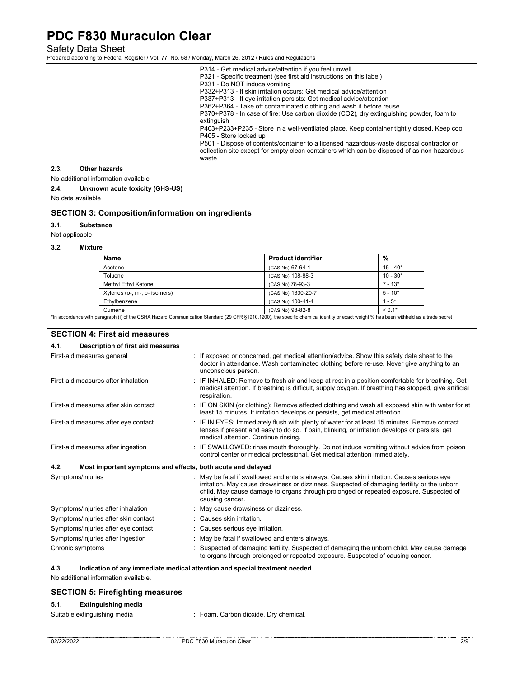Safety Data Sheet

Prepared according to Federal Register / Vol. 77, No. 58 / Monday, March 26, 2012 / Rules and Regulations

- P314 Get medical advice/attention if you feel unwell
- P321 Specific treatment (see first aid instructions on this label)
- P331 Do NOT induce vomiting

P332+P313 - If skin irritation occurs: Get medical advice/attention

P337+P313 - If eye irritation persists: Get medical advice/attention

P362+P364 - Take off contaminated clothing and wash it before reuse

P370+P378 - In case of fire: Use carbon dioxide (CO2), dry extinguishing powder, foam to extinguish

P403+P233+P235 - Store in a well-ventilated place. Keep container tightly closed. Keep cool P405 - Store locked up

P501 - Dispose of contents/container to a licensed hazardous-waste disposal contractor or collection site except for empty clean containers which can be disposed of as non-hazardous waste

#### **2.3. Other hazards**

No additional information available

### **2.4. Unknown acute toxicity (GHS-US)**

No data available

### **SECTION 3: Composition/information on ingredients**

**3.1. Substance** 

Not applicable

#### **3.2. Mixture**

| Name                         | <b>Product identifier</b> | %          |
|------------------------------|---------------------------|------------|
| Acetone                      | (CAS No) 67-64-1          | $15 - 40*$ |
| Toluene                      | (CAS No) 108-88-3         | $10 - 30*$ |
| Methyl Ethyl Ketone          | (CAS No) 78-93-3          | $7 - 13*$  |
| Xylenes (o-, m-, p- isomers) | (CAS No) 1330-20-7        | $5 - 10*$  |
| Ethylbenzene                 | (CAS No) 100-41-4         | $1 - 5^*$  |
| Cumene                       | (CAS No) 98-82-8          | $< 0.1*$   |

Cumene (Cumene (Cumene ) (CAS No) 98-82-8<br>\*In accordance with paragraph (i) of the OSHA Hazard Communication Standard (29 CFR §1910.1200), the specific chemical identity or exact weight % has been withheld as a trade secre

| <b>SECTION 4: First aid measures</b>                                |  |                                                                                                                                                                                                                                                                                                         |
|---------------------------------------------------------------------|--|---------------------------------------------------------------------------------------------------------------------------------------------------------------------------------------------------------------------------------------------------------------------------------------------------------|
| Description of first aid measures<br>4.1.                           |  |                                                                                                                                                                                                                                                                                                         |
| First-aid measures general                                          |  | : If exposed or concerned, get medical attention/advice. Show this safety data sheet to the<br>doctor in attendance. Wash contaminated clothing before re-use. Never give anything to an<br>unconscious person.                                                                                         |
| First-aid measures after inhalation                                 |  | : IF INHALED: Remove to fresh air and keep at rest in a position comfortable for breathing. Get<br>medical attention. If breathing is difficult, supply oxygen. If breathing has stopped, give artificial<br>respiration.                                                                               |
| First-aid measures after skin contact                               |  | : IF ON SKIN (or clothing): Remove affected clothing and wash all exposed skin with water for at<br>least 15 minutes. If irritation develops or persists, get medical attention.                                                                                                                        |
| First-aid measures after eye contact                                |  | : IF IN EYES: Immediately flush with plenty of water for at least 15 minutes. Remove contact<br>lenses if present and easy to do so. If pain, blinking, or irritation develops or persists, get<br>medical attention. Continue rinsing.                                                                 |
| First-aid measures after ingestion                                  |  | : IF SWALLOWED: rinse mouth thoroughly. Do not induce vomiting without advice from poison<br>control center or medical professional. Get medical attention immediately.                                                                                                                                 |
| 4.2.<br>Most important symptoms and effects, both acute and delayed |  |                                                                                                                                                                                                                                                                                                         |
| Symptoms/injuries                                                   |  | : May be fatal if swallowed and enters airways. Causes skin irritation. Causes serious eye<br>irritation. May cause drowsiness or dizziness. Suspected of damaging fertility or the unborn<br>child. May cause damage to organs through prolonged or repeated exposure. Suspected of<br>causing cancer. |
| Symptoms/injuries after inhalation                                  |  | May cause drowsiness or dizziness.                                                                                                                                                                                                                                                                      |
| Symptoms/injuries after skin contact                                |  | : Causes skin irritation.                                                                                                                                                                                                                                                                               |
| Symptoms/injuries after eye contact                                 |  | : Causes serious eye irritation.                                                                                                                                                                                                                                                                        |
| Symptoms/injuries after ingestion                                   |  | May be fatal if swallowed and enters airways.                                                                                                                                                                                                                                                           |
| Chronic symptoms                                                    |  | Suspected of damaging fertility. Suspected of damaging the unborn child. May cause damage<br>to organs through prolonged or repeated exposure. Suspected of causing cancer.                                                                                                                             |

### **4.3. Indication of any immediate medical attention and special treatment needed**

No additional information available.

# **SECTION 5: Firefighting measures**

# **5.1. Extinguishing media**

Suitable extinguishing media : Foam. Carbon dioxide. Dry chemical.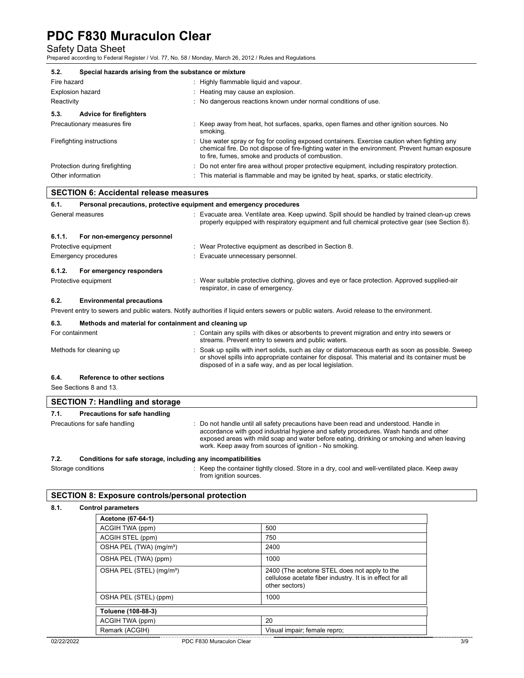Safety Data Sheet Prepared according to Federal Register / Vol. 77, No. 58 / Monday, March 26, 2012 / Rules and Regulations

| 5.2.                                          | Special hazards arising from the substance or mixture                                                                                                                                                                                               |  |  |
|-----------------------------------------------|-----------------------------------------------------------------------------------------------------------------------------------------------------------------------------------------------------------------------------------------------------|--|--|
| Fire hazard                                   | : Highly flammable liquid and vapour.                                                                                                                                                                                                               |  |  |
| <b>Explosion hazard</b>                       | : Heating may cause an explosion.                                                                                                                                                                                                                   |  |  |
| Reactivity                                    | : No dangerous reactions known under normal conditions of use.                                                                                                                                                                                      |  |  |
| 5.3.<br><b>Advice for firefighters</b>        |                                                                                                                                                                                                                                                     |  |  |
| Precautionary measures fire                   | : Keep away from heat, hot surfaces, sparks, open flames and other ignition sources. No<br>smoking.                                                                                                                                                 |  |  |
| Firefighting instructions                     | : Use water spray or fog for cooling exposed containers. Exercise caution when fighting any<br>chemical fire. Do not dispose of fire-fighting water in the environment. Prevent human exposure<br>to fire, fumes, smoke and products of combustion. |  |  |
| Protection during firefighting                | : Do not enter fire area without proper protective equipment, including respiratory protection.                                                                                                                                                     |  |  |
| Other information                             | : This material is flammable and may be ignited by heat, sparks, or static electricity.                                                                                                                                                             |  |  |
| <b>SECTION 6: Accidental release measures</b> |                                                                                                                                                                                                                                                     |  |  |

| 6.1.   | Personal precautions, protective equipment and emergency procedures |  |                                                                                                                                                                                                    |  |
|--------|---------------------------------------------------------------------|--|----------------------------------------------------------------------------------------------------------------------------------------------------------------------------------------------------|--|
|        | General measures                                                    |  | : Evacuate area. Ventilate area. Keep upwind. Spill should be handled by trained clean-up crews<br>properly equipped with respiratory equipment and full chemical protective gear (see Section 8). |  |
| 6.1.1. | For non-emergency personnel                                         |  |                                                                                                                                                                                                    |  |
|        | Protective equipment                                                |  | : Wear Protective equipment as described in Section 8.                                                                                                                                             |  |
|        | Emergency procedures                                                |  | Evacuate unnecessary personnel.                                                                                                                                                                    |  |
| 6.1.2. | For emergency responders                                            |  |                                                                                                                                                                                                    |  |
|        | Protective equipment                                                |  | : Wear suitable protective clothing, gloves and eye or face protection. Approved supplied-air<br>respirator, in case of emergency.                                                                 |  |
| 6.2.   | <b>Environmental precautions</b>                                    |  |                                                                                                                                                                                                    |  |
|        |                                                                     |  | Prevent entry to sewers and public waters. Notify authorities if liquid enters sewers or public waters. Avoid release to the environment.                                                          |  |
|        |                                                                     |  |                                                                                                                                                                                                    |  |

| 6.3.<br>Methods and material for containment and cleaning up |                                                                                                                                                                                                                                                                    |
|--------------------------------------------------------------|--------------------------------------------------------------------------------------------------------------------------------------------------------------------------------------------------------------------------------------------------------------------|
| For containment                                              | : Contain any spills with dikes or absorbents to prevent migration and entry into sewers or<br>streams. Prevent entry to sewers and public waters.                                                                                                                 |
| Methods for cleaning up                                      | : Soak up spills with inert solids, such as clay or diatomaceous earth as soon as possible. Sweep<br>or shovel spills into appropriate container for disposal. This material and its container must be<br>disposed of in a safe way, and as per local legislation. |
| 6.4.<br>Reference to other sections                          |                                                                                                                                                                                                                                                                    |

# See Sections 8 and 13.

|      | <b>SECTION 7: Handling and storage</b>                       |                                                                                                                                                                                                                                                                                                                                      |
|------|--------------------------------------------------------------|--------------------------------------------------------------------------------------------------------------------------------------------------------------------------------------------------------------------------------------------------------------------------------------------------------------------------------------|
| 7.1. | Precautions for safe handling                                |                                                                                                                                                                                                                                                                                                                                      |
|      | Precautions for safe handling                                | : Do not handle until all safety precautions have been read and understood. Handle in<br>accordance with good industrial hygiene and safety procedures. Wash hands and other<br>exposed areas with mild soap and water before eating, drinking or smoking and when leaving<br>work. Keep away from sources of ignition - No smoking. |
| 7.2. | Conditions for safe storage, including any incompatibilities |                                                                                                                                                                                                                                                                                                                                      |

Storage conditions : Keep the container tightly closed. Store in a dry, cool and well-ventilated place. Keep away from ignition sources.

# **SECTION 8: Exposure controls/personal protection**

### **8.1. Control parameters**

| Acetone (67-64-1)                    |                                                                                                                             |
|--------------------------------------|-----------------------------------------------------------------------------------------------------------------------------|
| ACGIH TWA (ppm)                      | 500                                                                                                                         |
| ACGIH STEL (ppm)                     | 750                                                                                                                         |
| OSHA PEL (TWA) (mg/m <sup>3</sup> )  | 2400                                                                                                                        |
| OSHA PEL (TWA) (ppm)                 | 1000                                                                                                                        |
| OSHA PEL (STEL) (mg/m <sup>3</sup> ) | 2400 (The acetone STEL does not apply to the<br>cellulose acetate fiber industry. It is in effect for all<br>other sectors) |
| OSHA PEL (STEL) (ppm)                | 1000                                                                                                                        |
| Toluene (108-88-3)                   |                                                                                                                             |
| ACGIH TWA (ppm)                      | 20                                                                                                                          |
| Remark (ACGIH)                       | Visual impair; female repro;                                                                                                |
|                                      |                                                                                                                             |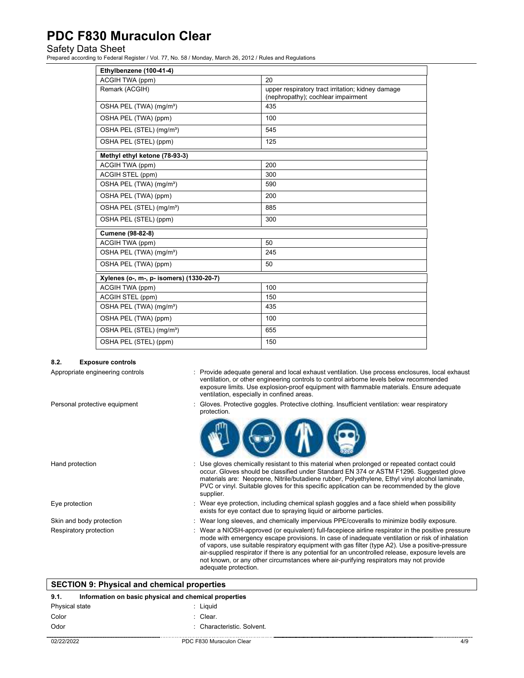# Safety Data Sheet

Prepared according to Federal Register / Vol. 77, No. 58 / Monday, March 26, 2012 / Rules and Regulations

| Ethylbenzene (100-41-4)                  |                                                                                         |  |  |
|------------------------------------------|-----------------------------------------------------------------------------------------|--|--|
| ACGIH TWA (ppm)                          | 20                                                                                      |  |  |
| Remark (ACGIH)                           | upper respiratory tract irritation; kidney damage<br>(nephropathy); cochlear impairment |  |  |
| OSHA PEL (TWA) (mg/m <sup>3</sup> )      | 435                                                                                     |  |  |
| OSHA PEL (TWA) (ppm)                     | 100                                                                                     |  |  |
| OSHA PEL (STEL) (mg/m <sup>3</sup> )     | 545                                                                                     |  |  |
| OSHA PEL (STEL) (ppm)                    | 125                                                                                     |  |  |
| Methyl ethyl ketone (78-93-3)            |                                                                                         |  |  |
| ACGIH TWA (ppm)                          | 200                                                                                     |  |  |
| <b>ACGIH STEL (ppm)</b>                  | 300                                                                                     |  |  |
| OSHA PEL (TWA) (mg/m <sup>3</sup> )      | 590                                                                                     |  |  |
| OSHA PEL (TWA) (ppm)                     | 200                                                                                     |  |  |
| OSHA PEL (STEL) (mg/m <sup>3</sup> )     | 885                                                                                     |  |  |
| OSHA PEL (STEL) (ppm)                    | 300                                                                                     |  |  |
| Cumene (98-82-8)                         |                                                                                         |  |  |
| ACGIH TWA (ppm)                          | 50                                                                                      |  |  |
| OSHA PEL (TWA) (mg/m <sup>3</sup> )      | 245                                                                                     |  |  |
| OSHA PEL (TWA) (ppm)                     | 50                                                                                      |  |  |
| Xylenes (o-, m-, p- isomers) (1330-20-7) |                                                                                         |  |  |
| ACGIH TWA (ppm)                          | 100                                                                                     |  |  |
| <b>ACGIH STEL (ppm)</b>                  | 150                                                                                     |  |  |
| OSHA PEL (TWA) (mg/m <sup>3</sup> )      | 435                                                                                     |  |  |
| OSHA PEL (TWA) (ppm)                     | 100                                                                                     |  |  |
| OSHA PEL (STEL) (mg/m <sup>3</sup> )     | 655                                                                                     |  |  |
| OSHA PEL (STEL) (ppm)                    | 150                                                                                     |  |  |

#### **8.2. Exposure controls**

- Appropriate engineering controls : Provide adequate general and local exhaust ventilation. Use process enclosures, local exhaust ventilation, or other engineering controls to control airborne levels below recommended exposure limits. Use explosion-proof equipment with flammable materials. Ensure adequate ventilation, especially in confined areas.
- Personal protective equipment : Gloves. Protective goggles. Protective clothing. Insufficient ventilation: wear respiratory protection.



- Hand protection **interval of the US** of Use gloves chemically resistant to this material when prolonged or repeated contact could occur. Gloves should be classified under Standard EN 374 or ASTM F1296. Suggested glove materials are: Neoprene, Nitrile/butadiene rubber, Polyethylene, Ethyl vinyl alcohol laminate, PVC or vinyl. Suitable gloves for this specific application can be recommended by the glove supplier. Eye protection states of the state of the state of the state splash goggles and a face shield when possibility exists for eye contact due to spraying liquid or airborne particles. Skin and body protection : Wear long sleeves, and chemically impervious PPE/coveralls to minimize bodily exposure.
	-
- Respiratory protection **in the positive pressure** : Wear a NIOSH-approved (or equivalent) full-facepiece airline respirator in the positive pressure mode with emergency escape provisions. In case of inadequate ventilation or risk of inhalation of vapors, use suitable respiratory equipment with gas filter (type A2). Use a positive-pressure air-supplied respirator if there is any potential for an uncontrolled release, exposure levels are not known, or any other circumstances where air-purifying respirators may not provide adequate protection.

| <b>SECTION 9: Physical and chemical properties</b> |                                                       |     |
|----------------------------------------------------|-------------------------------------------------------|-----|
| 9.1.                                               | Information on basic physical and chemical properties |     |
| Physical state                                     | : Liauid                                              |     |
| Color                                              | : Clear.                                              |     |
| Odor                                               | · Characteristic. Solvent.                            |     |
| 02/22/2022                                         | PDC F830 Muraculon Clear                              | 4/9 |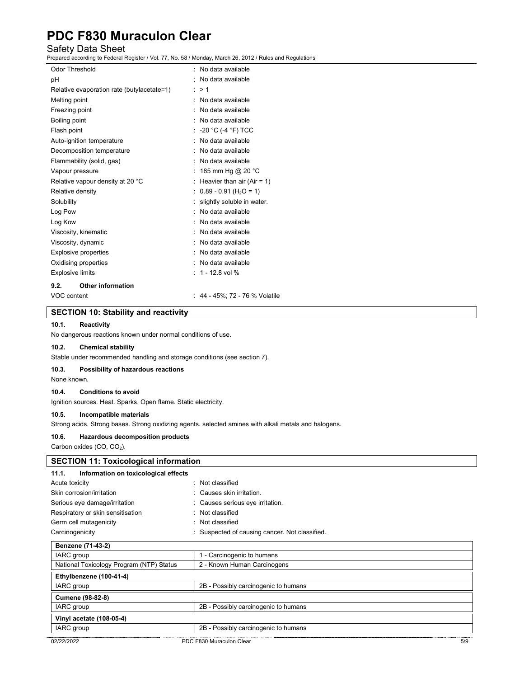# Safety Data Sheet

Prepared according to Federal Register / Vol. 77, No. 58 / Monday, March 26, 2012 / Rules and Regulations

| Odor Threshold              |                                            |   | No data available                    |
|-----------------------------|--------------------------------------------|---|--------------------------------------|
| рH                          |                                            |   | No data available                    |
|                             | Relative evaporation rate (butylacetate=1) | ÷ | >1                                   |
| Melting point               |                                            |   | No data available                    |
| Freezing point              |                                            |   | No data available                    |
| Boiling point               |                                            |   | No data available                    |
| Flash point                 |                                            |   | : -20 °C (-4 °F) TCC                 |
| Auto-ignition temperature   |                                            |   | No data available                    |
| Decomposition temperature   |                                            |   | No data available                    |
| Flammability (solid, gas)   |                                            |   | No data available                    |
| Vapour pressure             |                                            |   | 185 mm Hg @ 20 °C                    |
|                             | Relative vapour density at 20 °C           |   | Heavier than air (Air = $1$ )        |
| Relative density            |                                            |   | $0.89 - 0.91$ (H <sub>2</sub> O = 1) |
| Solubility                  |                                            |   | slightly soluble in water.           |
| Log Pow                     |                                            |   | No data available                    |
| Log Kow                     |                                            |   | No data available                    |
| Viscosity, kinematic        |                                            |   | No data available                    |
| Viscosity, dynamic          |                                            |   | No data available                    |
| <b>Explosive properties</b> |                                            |   | No data available                    |
| Oxidising properties        |                                            |   | No data available                    |
| <b>Explosive limits</b>     |                                            |   | 1 - 12.8 vol %                       |
| 9.2.                        | <b>Other information</b>                   |   |                                      |
| VOC content                 |                                            |   | : 44 - 45%; 72 - 76 % Volatile       |

### **SECTION 10: Stability and reactivity**

### **10.1. Reactivity**

No dangerous reactions known under normal conditions of use.

### **10.2. Chemical stability**

Stable under recommended handling and storage conditions (see section 7).

### **10.3. Possibility of hazardous reactions**

None known.

## **10.4. Conditions to avoid**

Ignition sources. Heat. Sparks. Open flame. Static electricity.

### **10.5. Incompatible materials**

Strong acids. Strong bases. Strong oxidizing agents. selected amines with alkali metals and halogens.

### **10.6. Hazardous decomposition products**

Carbon oxides  $(CO, CO<sub>2</sub>)$ .

| <b>SECTION 11: Toxicological information</b>  |                                              |  |
|-----------------------------------------------|----------------------------------------------|--|
| Information on toxicological effects<br>11.1. |                                              |  |
| Acute toxicity                                | Not classified                               |  |
| Skin corrosion/irritation                     | Causes skin irritation.                      |  |
| Serious eye damage/irritation                 | Causes serious eye irritation.               |  |
| Respiratory or skin sensitisation             | Not classified                               |  |
| Germ cell mutagenicity                        | Not classified                               |  |
| Carcinogenicity                               | Suspected of causing cancer. Not classified. |  |
| Benzene (71-43-2)                             |                                              |  |
| IARC group                                    | 1 - Carcinogenic to humans                   |  |
| National Toxicology Program (NTP) Status      | 2 - Known Human Carcinogens                  |  |
| Ethylbenzene (100-41-4)                       |                                              |  |
| IARC group                                    | 2B - Possibly carcinogenic to humans         |  |
| <b>Cumene (98-82-8)</b>                       |                                              |  |
| <b>IARC</b> group                             | 2B - Possibly carcinogenic to humans         |  |
| Vinyl acetate (108-05-4)                      |                                              |  |
| IARC group                                    | 2B - Possibly carcinogenic to humans         |  |
| 02/22/2022                                    | PDC F830 Muraculon Clear<br>5/9              |  |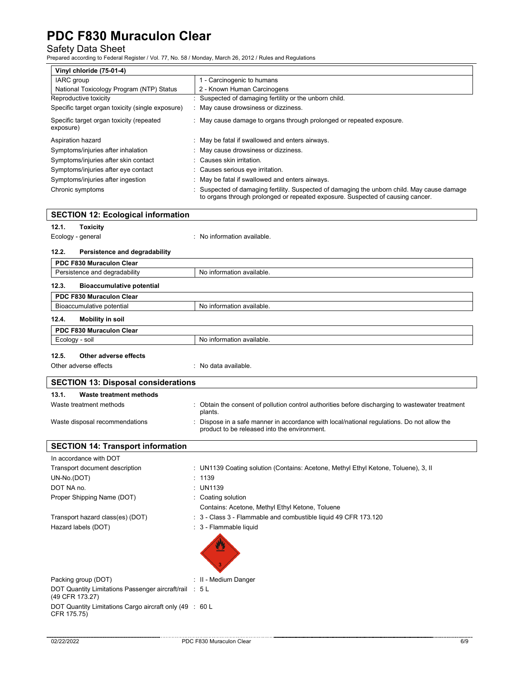Safety Data Sheet Prepared according to Federal Register / Vol. 77, No. 58 / Monday, March 26, 2012 / Rules and Regulations

| Vinyl chloride (75-01-4)                              |                                                                                                                                                                             |  |  |
|-------------------------------------------------------|-----------------------------------------------------------------------------------------------------------------------------------------------------------------------------|--|--|
| <b>IARC</b> group                                     | 1 - Carcinogenic to humans                                                                                                                                                  |  |  |
| National Toxicology Program (NTP) Status              | 2 - Known Human Carcinogens                                                                                                                                                 |  |  |
| Reproductive toxicity                                 | : Suspected of damaging fertility or the unborn child.                                                                                                                      |  |  |
| Specific target organ toxicity (single exposure)      | : May cause drowsiness or dizziness.                                                                                                                                        |  |  |
| Specific target organ toxicity (repeated<br>exposure) | : May cause damage to organs through prolonged or repeated exposure.                                                                                                        |  |  |
| Aspiration hazard                                     | : May be fatal if swallowed and enters airways.                                                                                                                             |  |  |
| Symptoms/injuries after inhalation                    | May cause drowsiness or dizziness.                                                                                                                                          |  |  |
| Symptoms/injuries after skin contact                  | Causes skin irritation.                                                                                                                                                     |  |  |
| Symptoms/injuries after eye contact                   | : Causes serious eye irritation.                                                                                                                                            |  |  |
| Symptoms/injuries after ingestion                     | May be fatal if swallowed and enters airways.                                                                                                                               |  |  |
| Chronic symptoms                                      | Suspected of damaging fertility. Suspected of damaging the unborn child. May cause damage<br>to organs through prolonged or repeated exposure. Suspected of causing cancer. |  |  |
| <b>SECTION 12: Ecological information</b>             |                                                                                                                                                                             |  |  |
| 12.1.<br><b>Toxicity</b>                              |                                                                                                                                                                             |  |  |
| Ecology - general                                     | : No information available.                                                                                                                                                 |  |  |
| 12.2.<br>Persistence and degradability                |                                                                                                                                                                             |  |  |
| PDC F830 Muraculon Clear                              |                                                                                                                                                                             |  |  |
| Persistence and degradability                         | No information available.                                                                                                                                                   |  |  |
| 12.3.<br><b>Bioaccumulative potential</b>             |                                                                                                                                                                             |  |  |
| PDC F830 Muraculon Clear                              |                                                                                                                                                                             |  |  |
| Bioaccumulative potential                             | No information available.                                                                                                                                                   |  |  |
| 12.4.<br><b>Mobility in soil</b>                      |                                                                                                                                                                             |  |  |
| PDC F830 Muraculon Clear                              |                                                                                                                                                                             |  |  |
| No information available.<br>Ecology - soil           |                                                                                                                                                                             |  |  |

# **12.5. Other adverse effects**

Other adverse effects in the set of the set of the set of the set of the set of the set of the set of the set o

| <b>SECTION 13: Disposal considerations</b> |                                                                                                                                            |  |  |
|--------------------------------------------|--------------------------------------------------------------------------------------------------------------------------------------------|--|--|
| Waste treatment methods<br>13.1.           |                                                                                                                                            |  |  |
| Waste treatment methods                    | : Obtain the consent of pollution control authorities before discharging to wastewater treatment<br>plants.                                |  |  |
| Waste disposal recommendations             | : Dispose in a safe manner in accordance with local/national regulations. Do not allow the<br>product to be released into the environment. |  |  |

# **SECTION 14: Transport information**

| In accordance with DOT                                                    |                                                                                    |
|---------------------------------------------------------------------------|------------------------------------------------------------------------------------|
| Transport document description                                            | : UN1139 Coating solution (Contains: Acetone, Methyl Ethyl Ketone, Toluene), 3, II |
| UN-No.(DOT)                                                               | : 1139                                                                             |
| DOT NA no.                                                                | : UN1139                                                                           |
| Proper Shipping Name (DOT)                                                | : Coating solution                                                                 |
|                                                                           | Contains: Acetone, Methyl Ethyl Ketone, Toluene                                    |
| Transport hazard class(es) (DOT)                                          | : 3 - Class 3 - Flammable and combustible liquid 49 CFR 173.120                    |
| Hazard labels (DOT)                                                       | : 3 - Flammable liquid                                                             |
|                                                                           | V.                                                                                 |
| Packing group (DOT)                                                       | : II - Medium Danger                                                               |
| DOT Quantity Limitations Passenger aircraft/rail : 5 L<br>(49 CFR 173.27) |                                                                                    |
| DOT Quantity Limitations Cargo aircraft only (49 : 60 L<br>CFR 175.75)    |                                                                                    |
|                                                                           |                                                                                    |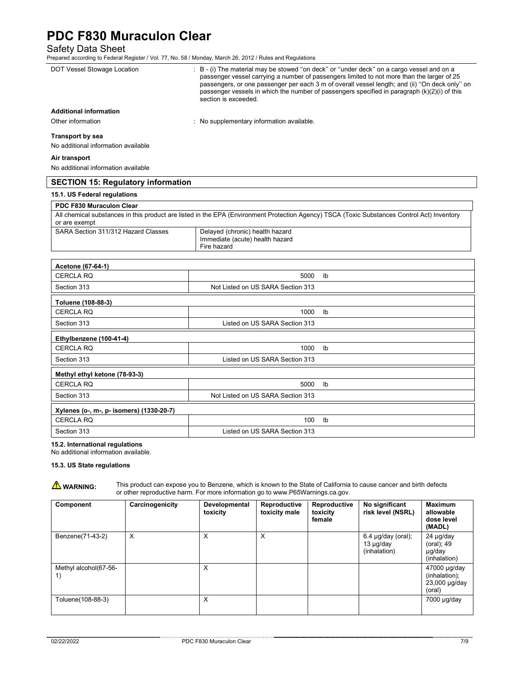Safety Data Sheet

| : B - (i) The material may be stowed "on deck" or "under deck" on a cargo vessel and on a<br>passenger vessel carrying a number of passengers limited to not more than the larger of 25<br>passengers, or one passenger per each 3 m of overall vessel length; and (ii) "On deck only" on<br>passenger vessels in which the number of passengers specified in paragraph $(k)(2)(i)$ of this<br>section is exceeded. |
|---------------------------------------------------------------------------------------------------------------------------------------------------------------------------------------------------------------------------------------------------------------------------------------------------------------------------------------------------------------------------------------------------------------------|
|                                                                                                                                                                                                                                                                                                                                                                                                                     |
| : No supplementary information available.                                                                                                                                                                                                                                                                                                                                                                           |
|                                                                                                                                                                                                                                                                                                                                                                                                                     |
|                                                                                                                                                                                                                                                                                                                                                                                                                     |
|                                                                                                                                                                                                                                                                                                                                                                                                                     |
|                                                                                                                                                                                                                                                                                                                                                                                                                     |
| <b>SECTION 15: Regulatory information</b>                                                                                                                                                                                                                                                                                                                                                                           |
|                                                                                                                                                                                                                                                                                                                                                                                                                     |
|                                                                                                                                                                                                                                                                                                                                                                                                                     |
| All chemical substances in this product are listed in the EPA (Environment Protection Agency) TSCA (Toxic Substances Control Act) Inventory                                                                                                                                                                                                                                                                         |
| Delayed (chronic) health hazard<br>Immediate (acute) health hazard<br>Fire hazard                                                                                                                                                                                                                                                                                                                                   |
|                                                                                                                                                                                                                                                                                                                                                                                                                     |

| <b>CERCLA RQ</b>                         | 5000                              | Ib            |  |  |  |
|------------------------------------------|-----------------------------------|---------------|--|--|--|
| Section 313                              | Not Listed on US SARA Section 313 |               |  |  |  |
| Toluene (108-88-3)                       |                                   |               |  |  |  |
| <b>CERCLA RQ</b>                         | 1000                              | $\mathsf{lb}$ |  |  |  |
| Section 313                              | Listed on US SARA Section 313     |               |  |  |  |
| Ethylbenzene (100-41-4)                  |                                   |               |  |  |  |
| <b>CERCLA RQ</b>                         | 1000                              | $\mathsf{lb}$ |  |  |  |
| Section 313                              | Listed on US SARA Section 313     |               |  |  |  |
| Methyl ethyl ketone (78-93-3)            |                                   |               |  |  |  |
| <b>CERCLA RQ</b>                         | 5000                              | $\mathsf{lb}$ |  |  |  |
| Section 313                              | Not Listed on US SARA Section 313 |               |  |  |  |
| Xylenes (o-, m-, p- isomers) (1330-20-7) |                                   |               |  |  |  |
| <b>CERCLA RQ</b>                         | 100                               | Ib            |  |  |  |
| Section 313                              | Listed on US SARA Section 313     |               |  |  |  |

## **15.2. International regulations**

No additional information available.

### **15.3. US State regulations**

**WARNING:** This product can expose you to Benzene, which is known to the State of California to cause cancer and birth defects or other reproductive harm. For more information go to www.P65Warnings.ca.gov.

| Component                   | Carcinogenicity | Developmental<br>toxicity | Reproductive<br>toxicity male | Reproductive<br>toxicity<br>female | No significant<br>risk level (NSRL)                     | <b>Maximum</b><br>allowable<br>dose level<br>(MADL)      |
|-----------------------------|-----------------|---------------------------|-------------------------------|------------------------------------|---------------------------------------------------------|----------------------------------------------------------|
| Benzene(71-43-2)            | X               | х                         | X                             |                                    | $6.4$ µg/day (oral);<br>$13 \mu g$ /day<br>(inhalation) | 24 µg/day<br>(oral); 49<br>µg/day<br>(inhalation)        |
| Methyl alcohol(67-56-<br>1) |                 | X                         |                               |                                    |                                                         | 47000 µg/day<br>(inhalation);<br>23,000 µg/day<br>(oral) |
| Toluene(108-88-3)           |                 | X                         |                               |                                    |                                                         | 7000 µg/day                                              |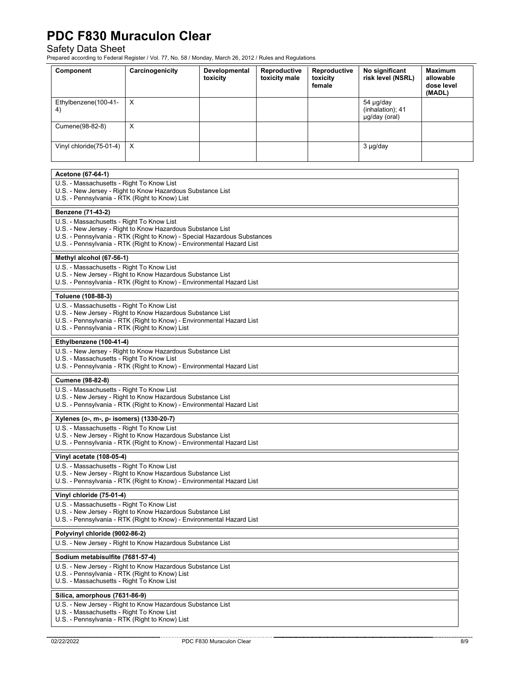Safety Data Sheet Prepared according to Federal Register / Vol. 77, No. 58 / Monday, March 26, 2012 / Rules and Regulations

| Component                                                                                                                                                                        | Carcinogenicity                                                                                                                                                                                                                    | Developmental<br>toxicity | Reproductive<br>toxicity male | Reproductive<br>toxicity<br>female | No significant<br>risk level (NSRL)            | Maximum<br>allowable<br>dose level<br>(MADL) |  |
|----------------------------------------------------------------------------------------------------------------------------------------------------------------------------------|------------------------------------------------------------------------------------------------------------------------------------------------------------------------------------------------------------------------------------|---------------------------|-------------------------------|------------------------------------|------------------------------------------------|----------------------------------------------|--|
| Ethylbenzene(100-41-<br>4)                                                                                                                                                       | X                                                                                                                                                                                                                                  |                           |                               |                                    | 54 µg/day<br>(inhalation); 41<br>µg/day (oral) |                                              |  |
| Cumene(98-82-8)                                                                                                                                                                  | Χ                                                                                                                                                                                                                                  |                           |                               |                                    |                                                |                                              |  |
| Vinyl chloride(75-01-4)                                                                                                                                                          | X                                                                                                                                                                                                                                  | 3 µg/day                  |                               |                                    |                                                |                                              |  |
| Acetone (67-64-1)                                                                                                                                                                |                                                                                                                                                                                                                                    |                           |                               |                                    |                                                |                                              |  |
|                                                                                                                                                                                  | U.S. - Massachusetts - Right To Know List<br>U.S. - New Jersey - Right to Know Hazardous Substance List<br>U.S. - Pennsylvania - RTK (Right to Know) List                                                                          |                           |                               |                                    |                                                |                                              |  |
| Benzene (71-43-2)                                                                                                                                                                |                                                                                                                                                                                                                                    |                           |                               |                                    |                                                |                                              |  |
| U.S. - Massachusetts - Right To Know List                                                                                                                                        | U.S. - New Jersey - Right to Know Hazardous Substance List<br>U.S. - Pennsylvania - RTK (Right to Know) - Special Hazardous Substances<br>U.S. - Pennsylvania - RTK (Right to Know) - Environmental Hazard List                    |                           |                               |                                    |                                                |                                              |  |
| Methyl alcohol (67-56-1)                                                                                                                                                         |                                                                                                                                                                                                                                    |                           |                               |                                    |                                                |                                              |  |
| U.S. - Massachusetts - Right To Know List                                                                                                                                        | U.S. - New Jersey - Right to Know Hazardous Substance List<br>U.S. - Pennsylvania - RTK (Right to Know) - Environmental Hazard List                                                                                                |                           |                               |                                    |                                                |                                              |  |
| Toluene (108-88-3)                                                                                                                                                               |                                                                                                                                                                                                                                    |                           |                               |                                    |                                                |                                              |  |
|                                                                                                                                                                                  | U.S. - Massachusetts - Right To Know List<br>U.S. - New Jersey - Right to Know Hazardous Substance List<br>U.S. - Pennsylvania - RTK (Right to Know) - Environmental Hazard List<br>U.S. - Pennsylvania - RTK (Right to Know) List |                           |                               |                                    |                                                |                                              |  |
| Ethylbenzene (100-41-4)                                                                                                                                                          |                                                                                                                                                                                                                                    |                           |                               |                                    |                                                |                                              |  |
| U.S. - New Jersey - Right to Know Hazardous Substance List<br>U.S. - Massachusetts - Right To Know List<br>U.S. - Pennsylvania - RTK (Right to Know) - Environmental Hazard List |                                                                                                                                                                                                                                    |                           |                               |                                    |                                                |                                              |  |
| Cumene (98-82-8)                                                                                                                                                                 |                                                                                                                                                                                                                                    |                           |                               |                                    |                                                |                                              |  |
| U.S. - Massachusetts - Right To Know List<br>U.S. - New Jersey - Right to Know Hazardous Substance List<br>U.S. - Pennsylvania - RTK (Right to Know) - Environmental Hazard List |                                                                                                                                                                                                                                    |                           |                               |                                    |                                                |                                              |  |
| Xylenes (o-, m-, p- isomers) (1330-20-7)                                                                                                                                         |                                                                                                                                                                                                                                    |                           |                               |                                    |                                                |                                              |  |
| U.S. - Massachusetts - Right To Know List<br>U.S. - New Jersey - Right to Know Hazardous Substance List<br>U.S. - Pennsylvania - RTK (Right to Know) - Environmental Hazard List |                                                                                                                                                                                                                                    |                           |                               |                                    |                                                |                                              |  |
| Vinyl acetate (108-05-4)                                                                                                                                                         |                                                                                                                                                                                                                                    |                           |                               |                                    |                                                |                                              |  |
| U.S. - Massachusetts - Right To Know List<br>U.S. - New Jersey - Right to Know Hazardous Substance List<br>U.S. - Pennsylvania - RTK (Right to Know) - Environmental Hazard List |                                                                                                                                                                                                                                    |                           |                               |                                    |                                                |                                              |  |
| Vinyl chloride (75-01-4)                                                                                                                                                         |                                                                                                                                                                                                                                    |                           |                               |                                    |                                                |                                              |  |
| U.S. - Massachusetts - Right To Know List<br>U.S. - New Jersey - Right to Know Hazardous Substance List<br>U.S. - Pennsylvania - RTK (Right to Know) - Environmental Hazard List |                                                                                                                                                                                                                                    |                           |                               |                                    |                                                |                                              |  |
| Polyvinyl chloride (9002-86-2)                                                                                                                                                   |                                                                                                                                                                                                                                    |                           |                               |                                    |                                                |                                              |  |
| U.S. - New Jersey - Right to Know Hazardous Substance List                                                                                                                       |                                                                                                                                                                                                                                    |                           |                               |                                    |                                                |                                              |  |
| Sodium metabisulfite (7681-57-4)                                                                                                                                                 |                                                                                                                                                                                                                                    |                           |                               |                                    |                                                |                                              |  |
| U.S. - New Jersey - Right to Know Hazardous Substance List<br>U.S. - Pennsylvania - RTK (Right to Know) List<br>U.S. - Massachusetts - Right To Know List                        |                                                                                                                                                                                                                                    |                           |                               |                                    |                                                |                                              |  |
| Silica, amorphous (7631-86-9)                                                                                                                                                    |                                                                                                                                                                                                                                    |                           |                               |                                    |                                                |                                              |  |
| U.S. - New Jersey - Right to Know Hazardous Substance List<br>U.S. - Massachusetts - Right To Know List<br>U.S. - Pennsylvania - RTK (Right to Know) List                        |                                                                                                                                                                                                                                    |                           |                               |                                    |                                                |                                              |  |

02/22/2022 PDC F830 Muraculon Clear 8/9